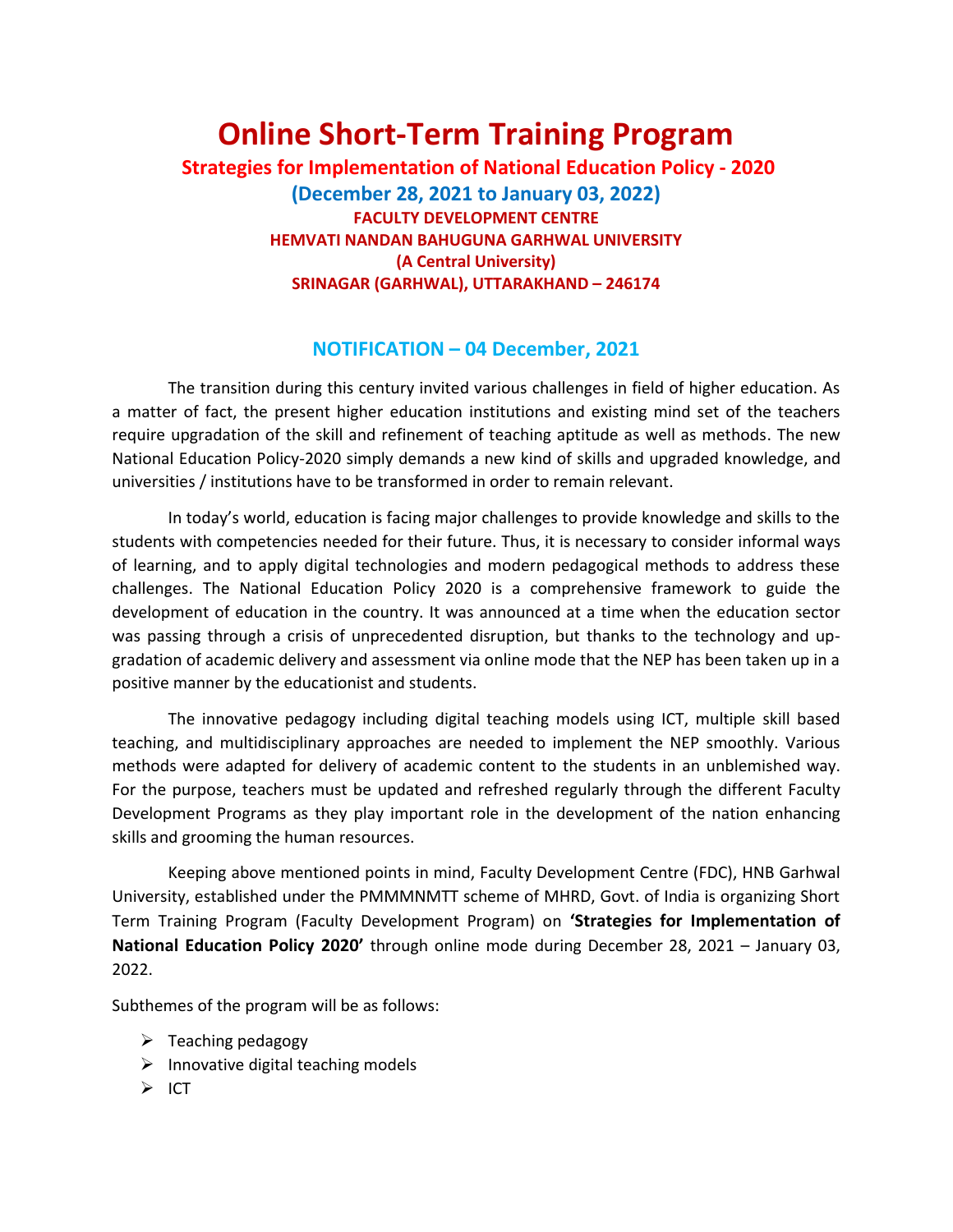## **Online Short-Term Training Program**

**Strategies for Implementation of National Education Policy - 2020 (December 28, 2021 to January 03, 2022) FACULTY DEVELOPMENT CENTRE HEMVATI NANDAN BAHUGUNA GARHWAL UNIVERSITY (A Central University) SRINAGAR (GARHWAL), UTTARAKHAND – 246174**

## **NOTIFICATION – 04 December, 2021**

The transition during this century invited various challenges in field of higher education. As a matter of fact, the present higher education institutions and existing mind set of the teachers require upgradation of the skill and refinement of teaching aptitude as well as methods. The new National Education Policy-2020 simply demands a new kind of skills and upgraded knowledge, and universities / institutions have to be transformed in order to remain relevant.

In today's world, education is facing major challenges to provide knowledge and skills to the students with competencies needed for their future. Thus, it is necessary to consider informal ways of learning, and to apply digital technologies and modern pedagogical methods to address these challenges. The National Education Policy 2020 is a comprehensive framework to guide the development of education in the country. It was announced at a time when the education sector was passing through a crisis of unprecedented disruption, but thanks to the technology and upgradation of academic delivery and assessment via online mode that the NEP has been taken up in a positive manner by the educationist and students.

The innovative pedagogy including digital teaching models using ICT, multiple skill based teaching, and multidisciplinary approaches are needed to implement the NEP smoothly. Various methods were adapted for delivery of academic content to the students in an unblemished way. For the purpose, teachers must be updated and refreshed regularly through the different Faculty Development Programs as they play important role in the development of the nation enhancing skills and grooming the human resources.

Keeping above mentioned points in mind, Faculty Development Centre (FDC), HNB Garhwal University, established under the PMMMNMTT scheme of MHRD, Govt. of India is organizing Short Term Training Program (Faculty Development Program) on **'Strategies for Implementation of National Education Policy 2020'** through online mode during December 28, 2021 – January 03, 2022.

Subthemes of the program will be as follows:

- $\triangleright$  Teaching pedagogy
- $\triangleright$  Innovative digital teaching models
- ➢ ICT